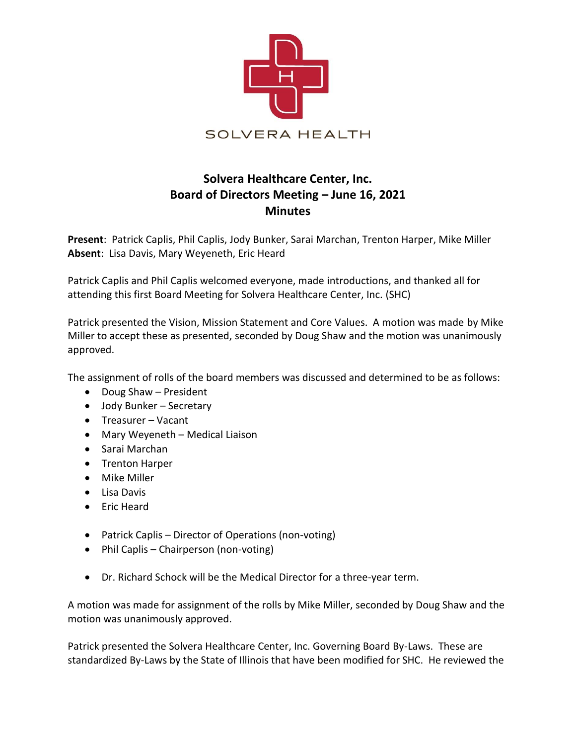

## **Solvera Healthcare Center, Inc. Board of Directors Meeting – June 16, 2021 Minutes**

**Present**: Patrick Caplis, Phil Caplis, Jody Bunker, Sarai Marchan, Trenton Harper, Mike Miller **Absent**: Lisa Davis, Mary Weyeneth, Eric Heard

Patrick Caplis and Phil Caplis welcomed everyone, made introductions, and thanked all for attending this first Board Meeting for Solvera Healthcare Center, Inc. (SHC)

Patrick presented the Vision, Mission Statement and Core Values. A motion was made by Mike Miller to accept these as presented, seconded by Doug Shaw and the motion was unanimously approved.

The assignment of rolls of the board members was discussed and determined to be as follows:

- Doug Shaw President
- Jody Bunker Secretary
- Treasurer Vacant
- Mary Weyeneth Medical Liaison
- Sarai Marchan
- Trenton Harper
- Mike Miller
- Lisa Davis
- Eric Heard
- Patrick Caplis Director of Operations (non-voting)
- Phil Caplis Chairperson (non-voting)
- Dr. Richard Schock will be the Medical Director for a three-year term.

A motion was made for assignment of the rolls by Mike Miller, seconded by Doug Shaw and the motion was unanimously approved.

Patrick presented the Solvera Healthcare Center, Inc. Governing Board By-Laws. These are standardized By-Laws by the State of Illinois that have been modified for SHC. He reviewed the